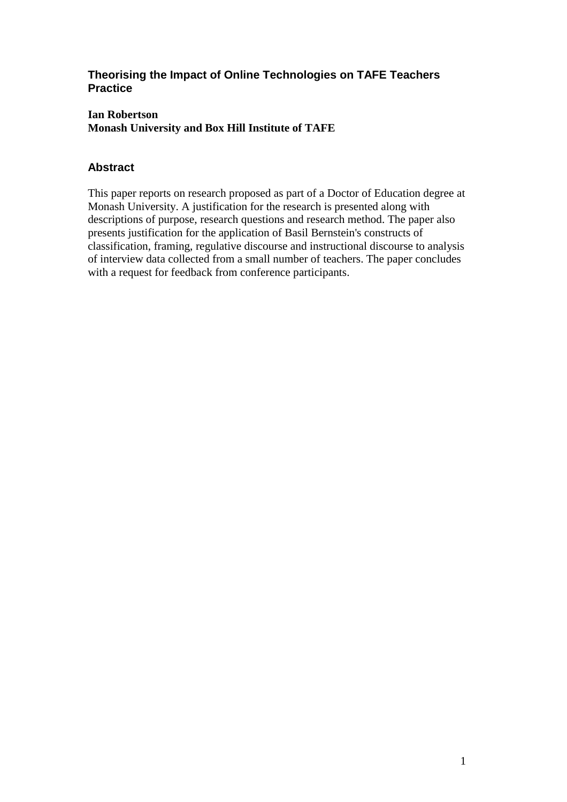### **Theorising the Impact of Online Technologies on TAFE Teachers Practice**

#### **Ian Robertson Monash University and Box Hill Institute of TAFE**

# **Abstract**

This paper reports on research proposed as part of a Doctor of Education degree at Monash University. A justification for the research is presented along with descriptions of purpose, research questions and research method. The paper also presents justification for the application of Basil Bernstein's constructs of classification, framing, regulative discourse and instructional discourse to analysis of interview data collected from a small number of teachers. The paper concludes with a request for feedback from conference participants.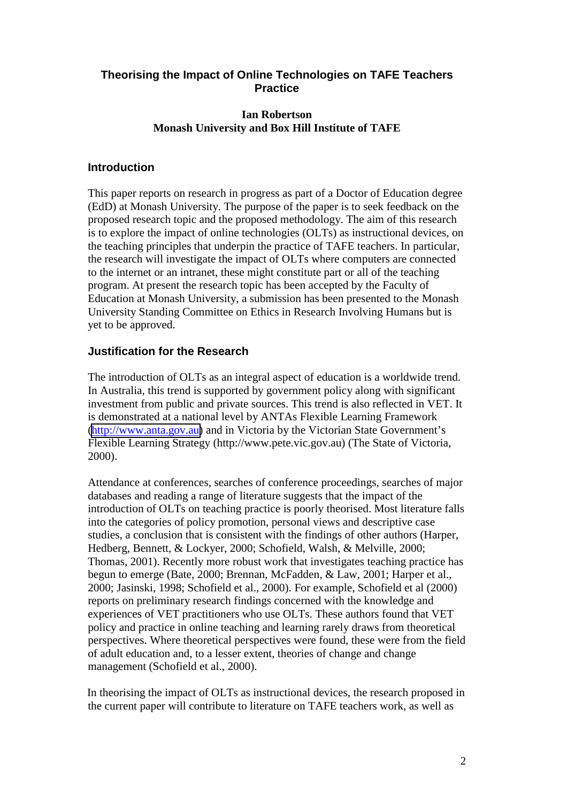### **Theorising the Impact of Online Technologies on TAFE Teachers Practice**

#### **Ian Robertson Monash University and Box Hill Institute of TAFE**

### **Introduction**

This paper reports on research in progress as part of a Doctor of Education degree (EdD) at Monash University. The purpose of the paper is to seek feedback on the proposed research topic and the proposed methodology. The aim of this research is to explore the impact of online technologies (OLTs) as instructional devices, on the teaching principles that underpin the practice of TAFE teachers. In particular, the research will investigate the impact of OLTs where computers are connected to the internet or an intranet, these might constitute part or all of the teaching program. At present the research topic has been accepted by the Faculty of Education at Monash University, a submission has been presented to the Monash University Standing Committee on Ethics in Research Involving Humans but is yet to be approved.

### **Justification for the Research**

The introduction of OLTs as an integral aspect of education is a worldwide trend. In Australia, this trend is supported by government policy along with significant investment from public and private sources. This trend is also reflected in VET. It is demonstrated at a national level by ANTAs Flexible Learning Framework [\(http://www.anta.gov.au\)](http://www.anta.gov.au/) and in Victoria by the Victorian State Government's Flexible Learning Strategy (http://www.pete.vic.gov.au) (The State of Victoria, 2000).

Attendance at conferences, searches of conference proceedings, searches of major databases and reading a range of literature suggests that the impact of the introduction of OLTs on teaching practice is poorly theorised. Most literature falls into the categories of policy promotion, personal views and descriptive case studies, a conclusion that is consistent with the findings of other authors (Harper, Hedberg, Bennett, & Lockyer, 2000; Schofield, Walsh, & Melville, 2000; Thomas, 2001). Recently more robust work that investigates teaching practice has begun to emerge (Bate, 2000; Brennan, McFadden, & Law, 2001; Harper et al., 2000; Jasinski, 1998; Schofield et al., 2000). For example, Schofield et al (2000) reports on preliminary research findings concerned with the knowledge and experiences of VET practitioners who use OLTs. These authors found that VET policy and practice in online teaching and learning rarely draws from theoretical perspectives. Where theoretical perspectives were found, these were from the field of adult education and, to a lesser extent, theories of change and change management (Schofield et al., 2000).

In theorising the impact of OLTs as instructional devices, the research proposed in the current paper will contribute to literature on TAFE teachers work, as well as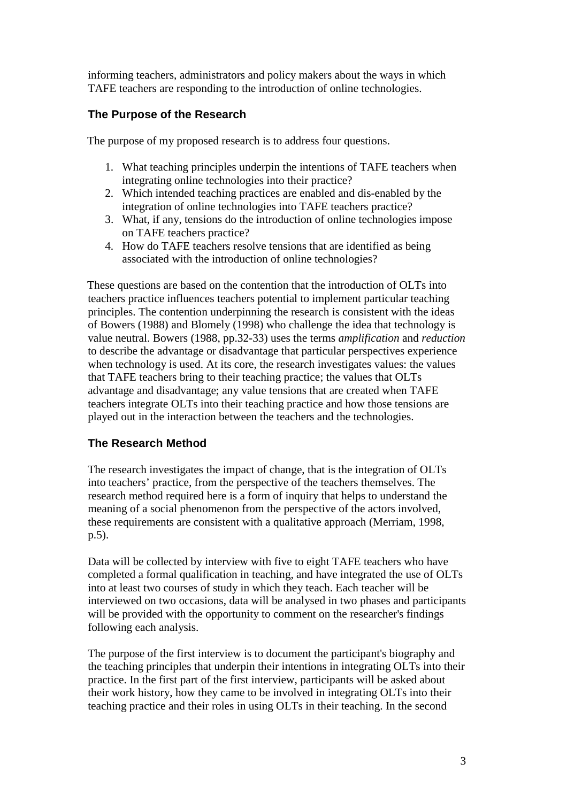informing teachers, administrators and policy makers about the ways in which TAFE teachers are responding to the introduction of online technologies.

# **The Purpose of the Research**

The purpose of my proposed research is to address four questions.

- 1. What teaching principles underpin the intentions of TAFE teachers when integrating online technologies into their practice?
- 2. Which intended teaching practices are enabled and dis-enabled by the integration of online technologies into TAFE teachers practice?
- 3. What, if any, tensions do the introduction of online technologies impose on TAFE teachers practice?
- 4. How do TAFE teachers resolve tensions that are identified as being associated with the introduction of online technologies?

These questions are based on the contention that the introduction of OLTs into teachers practice influences teachers potential to implement particular teaching principles. The contention underpinning the research is consistent with the ideas of Bowers (1988) and Blomely (1998) who challenge the idea that technology is value neutral. Bowers (1988, pp.32-33) uses the terms *amplification* and *reduction* to describe the advantage or disadvantage that particular perspectives experience when technology is used. At its core, the research investigates values: the values that TAFE teachers bring to their teaching practice; the values that OLTs advantage and disadvantage; any value tensions that are created when TAFE teachers integrate OLTs into their teaching practice and how those tensions are played out in the interaction between the teachers and the technologies.

## **The Research Method**

The research investigates the impact of change, that is the integration of OLTs into teachers' practice, from the perspective of the teachers themselves. The research method required here is a form of inquiry that helps to understand the meaning of a social phenomenon from the perspective of the actors involved, these requirements are consistent with a qualitative approach (Merriam, 1998, p.5).

Data will be collected by interview with five to eight TAFE teachers who have completed a formal qualification in teaching, and have integrated the use of OLTs into at least two courses of study in which they teach. Each teacher will be interviewed on two occasions, data will be analysed in two phases and participants will be provided with the opportunity to comment on the researcher's findings following each analysis.

The purpose of the first interview is to document the participant's biography and the teaching principles that underpin their intentions in integrating OLTs into their practice. In the first part of the first interview, participants will be asked about their work history, how they came to be involved in integrating OLTs into their teaching practice and their roles in using OLTs in their teaching. In the second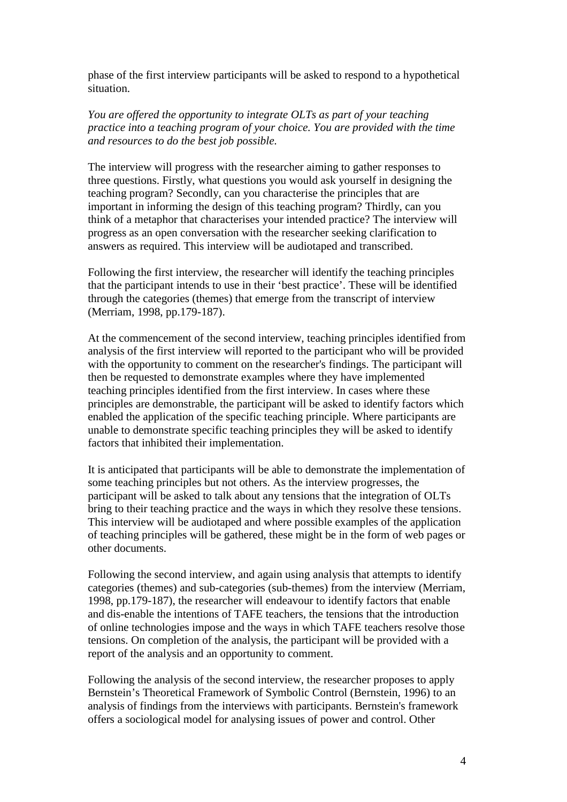phase of the first interview participants will be asked to respond to a hypothetical situation.

*You are offered the opportunity to integrate OLTs as part of your teaching practice into a teaching program of your choice. You are provided with the time and resources to do the best job possible.*

The interview will progress with the researcher aiming to gather responses to three questions. Firstly, what questions you would ask yourself in designing the teaching program? Secondly, can you characterise the principles that are important in informing the design of this teaching program? Thirdly, can you think of a metaphor that characterises your intended practice? The interview will progress as an open conversation with the researcher seeking clarification to answers as required. This interview will be audiotaped and transcribed.

Following the first interview, the researcher will identify the teaching principles that the participant intends to use in their 'best practice'. These will be identified through the categories (themes) that emerge from the transcript of interview (Merriam, 1998, pp.179-187).

At the commencement of the second interview, teaching principles identified from analysis of the first interview will reported to the participant who will be provided with the opportunity to comment on the researcher's findings. The participant will then be requested to demonstrate examples where they have implemented teaching principles identified from the first interview. In cases where these principles are demonstrable, the participant will be asked to identify factors which enabled the application of the specific teaching principle. Where participants are unable to demonstrate specific teaching principles they will be asked to identify factors that inhibited their implementation.

It is anticipated that participants will be able to demonstrate the implementation of some teaching principles but not others. As the interview progresses, the participant will be asked to talk about any tensions that the integration of OLTs bring to their teaching practice and the ways in which they resolve these tensions. This interview will be audiotaped and where possible examples of the application of teaching principles will be gathered, these might be in the form of web pages or other documents.

Following the second interview, and again using analysis that attempts to identify categories (themes) and sub-categories (sub-themes) from the interview (Merriam, 1998, pp.179-187), the researcher will endeavour to identify factors that enable and dis-enable the intentions of TAFE teachers, the tensions that the introduction of online technologies impose and the ways in which TAFE teachers resolve those tensions. On completion of the analysis, the participant will be provided with a report of the analysis and an opportunity to comment.

Following the analysis of the second interview, the researcher proposes to apply Bernstein's Theoretical Framework of Symbolic Control (Bernstein, 1996) to an analysis of findings from the interviews with participants. Bernstein's framework offers a sociological model for analysing issues of power and control. Other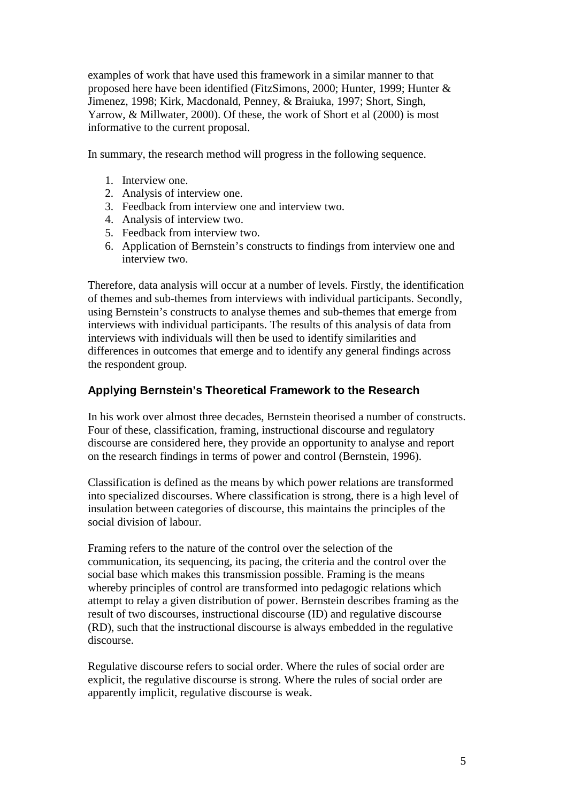examples of work that have used this framework in a similar manner to that proposed here have been identified (FitzSimons, 2000; Hunter, 1999; Hunter & Jimenez, 1998; Kirk, Macdonald, Penney, & Braiuka, 1997; Short, Singh, Yarrow, & Millwater, 2000). Of these, the work of Short et al (2000) is most informative to the current proposal.

In summary, the research method will progress in the following sequence.

- 1. Interview one.
- 2. Analysis of interview one.
- 3. Feedback from interview one and interview two.
- 4. Analysis of interview two.
- 5. Feedback from interview two.
- 6. Application of Bernstein's constructs to findings from interview one and interview two.

Therefore, data analysis will occur at a number of levels. Firstly, the identification of themes and sub-themes from interviews with individual participants. Secondly, using Bernstein's constructs to analyse themes and sub-themes that emerge from interviews with individual participants. The results of this analysis of data from interviews with individuals will then be used to identify similarities and differences in outcomes that emerge and to identify any general findings across the respondent group.

## **Applying Bernstein's Theoretical Framework to the Research**

In his work over almost three decades, Bernstein theorised a number of constructs. Four of these, classification, framing, instructional discourse and regulatory discourse are considered here, they provide an opportunity to analyse and report on the research findings in terms of power and control (Bernstein, 1996).

Classification is defined as the means by which power relations are transformed into specialized discourses. Where classification is strong, there is a high level of insulation between categories of discourse, this maintains the principles of the social division of labour.

Framing refers to the nature of the control over the selection of the communication, its sequencing, its pacing, the criteria and the control over the social base which makes this transmission possible. Framing is the means whereby principles of control are transformed into pedagogic relations which attempt to relay a given distribution of power. Bernstein describes framing as the result of two discourses, instructional discourse (ID) and regulative discourse (RD), such that the instructional discourse is always embedded in the regulative discourse.

Regulative discourse refers to social order. Where the rules of social order are explicit, the regulative discourse is strong. Where the rules of social order are apparently implicit, regulative discourse is weak.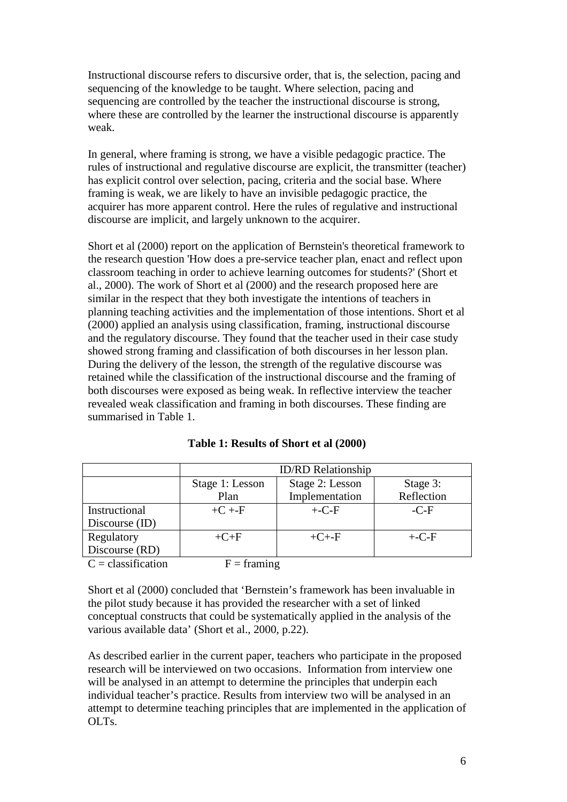Instructional discourse refers to discursive order, that is, the selection, pacing and sequencing of the knowledge to be taught. Where selection, pacing and sequencing are controlled by the teacher the instructional discourse is strong, where these are controlled by the learner the instructional discourse is apparently weak.

In general, where framing is strong, we have a visible pedagogic practice. The rules of instructional and regulative discourse are explicit, the transmitter (teacher) has explicit control over selection, pacing, criteria and the social base. Where framing is weak, we are likely to have an invisible pedagogic practice, the acquirer has more apparent control. Here the rules of regulative and instructional discourse are implicit, and largely unknown to the acquirer.

Short et al (2000) report on the application of Bernstein's theoretical framework to the research question 'How does a pre-service teacher plan, enact and reflect upon classroom teaching in order to achieve learning outcomes for students?' (Short et al., 2000). The work of Short et al (2000) and the research proposed here are similar in the respect that they both investigate the intentions of teachers in planning teaching activities and the implementation of those intentions. Short et al (2000) applied an analysis using classification, framing, instructional discourse and the regulatory discourse. They found that the teacher used in their case study showed strong framing and classification of both discourses in her lesson plan. During the delivery of the lesson, the strength of the regulative discourse was retained while the classification of the instructional discourse and the framing of both discourses were exposed as being weak. In reflective interview the teacher revealed weak classification and framing in both discourses. These finding are summarised in Table 1.

|                      | <b>ID/RD</b> Relationship |                 |            |
|----------------------|---------------------------|-----------------|------------|
|                      | Stage 1: Lesson           | Stage 2: Lesson | Stage 3:   |
|                      | Plan                      | Implementation  | Reflection |
| Instructional        | $+C + F$                  | $+$ -C-F        | $-C-F$     |
| Discourse (ID)       |                           |                 |            |
| Regulatory           | $+C+F$                    | $+C + -F$       | $+$ -C-F   |
| Discourse (RD)       |                           |                 |            |
| $C = classification$ | $F =$ framing             |                 |            |

| Table 1: Results of Short et al (2000) |
|----------------------------------------|
|----------------------------------------|

Short et al (2000) concluded that 'Bernstein's framework has been invaluable in the pilot study because it has provided the researcher with a set of linked conceptual constructs that could be systematically applied in the analysis of the various available data' (Short et al., 2000, p.22).

As described earlier in the current paper, teachers who participate in the proposed research will be interviewed on two occasions. Information from interview one will be analysed in an attempt to determine the principles that underpin each individual teacher's practice. Results from interview two will be analysed in an attempt to determine teaching principles that are implemented in the application of OLTs.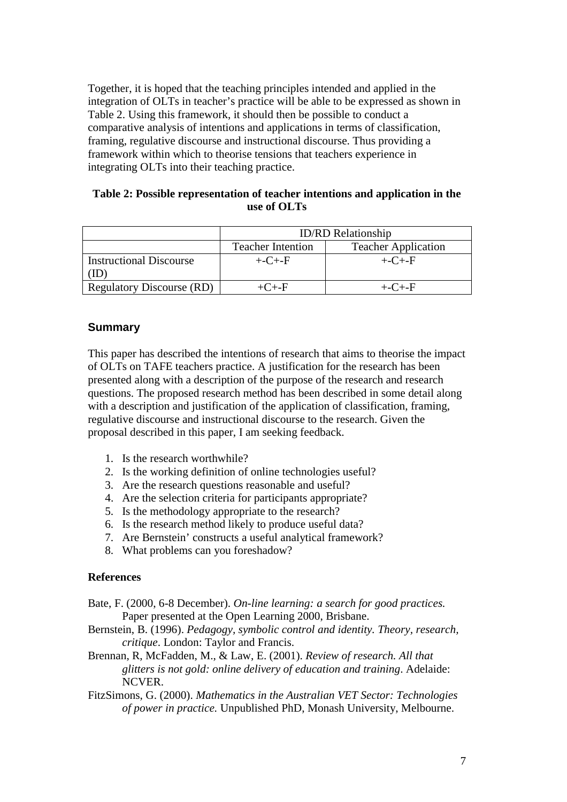Together, it is hoped that the teaching principles intended and applied in the integration of OLTs in teacher's practice will be able to be expressed as shown in Table 2. Using this framework, it should then be possible to conduct a comparative analysis of intentions and applications in terms of classification, framing, regulative discourse and instructional discourse. Thus providing a framework within which to theorise tensions that teachers experience in integrating OLTs into their teaching practice.

### **Table 2: Possible representation of teacher intentions and application in the use of OLTs**

|                                  | <b>ID/RD</b> Relationship |                            |  |
|----------------------------------|---------------------------|----------------------------|--|
|                                  | <b>Teacher Intention</b>  | <b>Teacher Application</b> |  |
| <b>Instructional Discourse</b>   | $+$ -C+-F                 | $+$ -C+-F                  |  |
| <b>Regulatory Discourse (RD)</b> | $+C + -F$                 | $+$ -C $+$ -F              |  |

## **Summary**

This paper has described the intentions of research that aims to theorise the impact of OLTs on TAFE teachers practice. A justification for the research has been presented along with a description of the purpose of the research and research questions. The proposed research method has been described in some detail along with a description and justification of the application of classification, framing, regulative discourse and instructional discourse to the research. Given the proposal described in this paper, I am seeking feedback.

- 1. Is the research worthwhile?
- 2. Is the working definition of online technologies useful?
- 3. Are the research questions reasonable and useful?
- 4. Are the selection criteria for participants appropriate?
- 5. Is the methodology appropriate to the research?
- 6. Is the research method likely to produce useful data?
- 7. Are Bernstein' constructs a useful analytical framework?
- 8. What problems can you foreshadow?

#### **References**

- Bate, F. (2000, 6-8 December). *On-line learning: a search for good practices.* Paper presented at the Open Learning 2000, Brisbane.
- Bernstein, B. (1996). *Pedagogy, symbolic control and identity. Theory, research, critique*. London: Taylor and Francis.
- Brennan, R, McFadden, M., & Law, E. (2001). *Review of research. All that glitters is not gold: online delivery of education and training*. Adelaide: NCVER.
- FitzSimons, G. (2000). *Mathematics in the Australian VET Sector: Technologies of power in practice.* Unpublished PhD, Monash University, Melbourne.